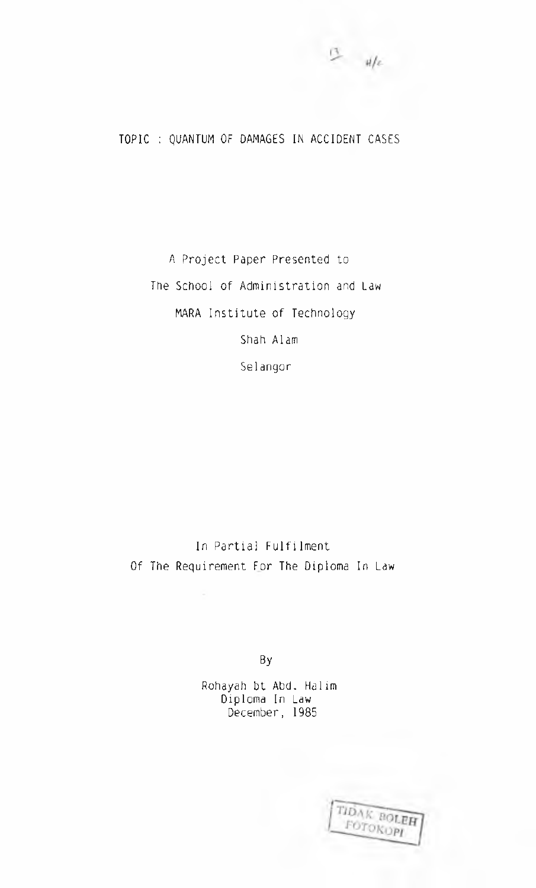## TOPIC : QUANTUM OF DAMAGES IN ACCIDENT CASES

A Project Paper Presented to The School of Administration and Law MARA Institute of Technology Shah Alam Selangor

In Partial Fulfilment Of The Requirement For The Diploma In Law

By

Rohayah bt Abd. Halim Diploma In Law December, 1985

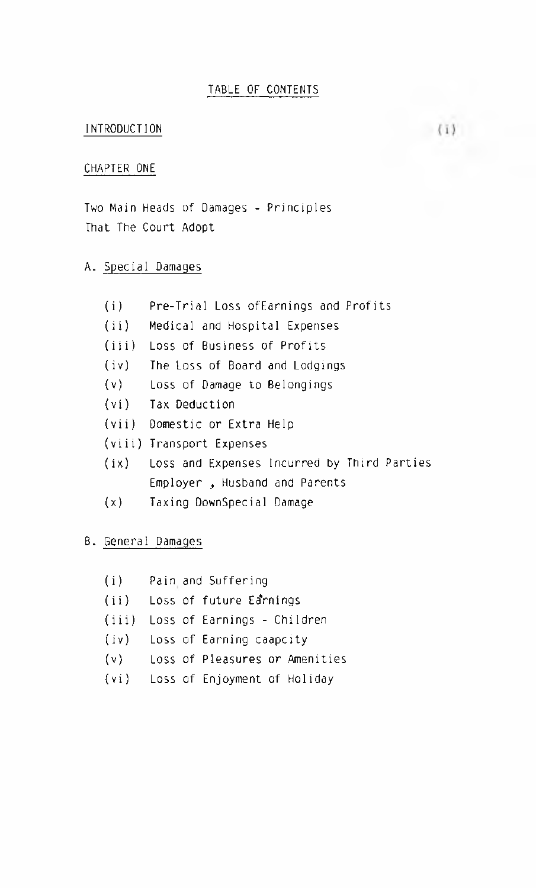## INTRODUCTION

## CHAPTER ONE

Two Main Heads of Damages - Principles That The Court Adopt

# A. Special Damages

| (i)   | Pre-Trial Loss of Earnings and Profits           |
|-------|--------------------------------------------------|
| (ii)  | Medical and Hospital Expenses                    |
| (iii) | Loss of Business of Profits                      |
| (iv)  | The Loss of Board and Lodgings                   |
|       | (v) Loss of Damage to Belongings                 |
|       | (vi) Tax Deduction                               |
|       | (vii) Domestic or Extra Help                     |
|       | (viii) Transport Expenses                        |
|       | (ix) Loss and Expenses Incurred by Third Parties |
|       | Employer, Husband and Parents                    |
| (x)   | Taxing DownSpecial Damage                        |

# B. General Damages

| (i)  | Pain and Suffering                |
|------|-----------------------------------|
|      | (ii) Loss of future Earnings      |
|      | (iii) Loss of Earnings - Children |
| (iv) | Loss of Earning caapcity          |
| (v)  | Loss of Pleasures or Amenities    |
|      | (vi) Loss of Enjoyment of Holiday |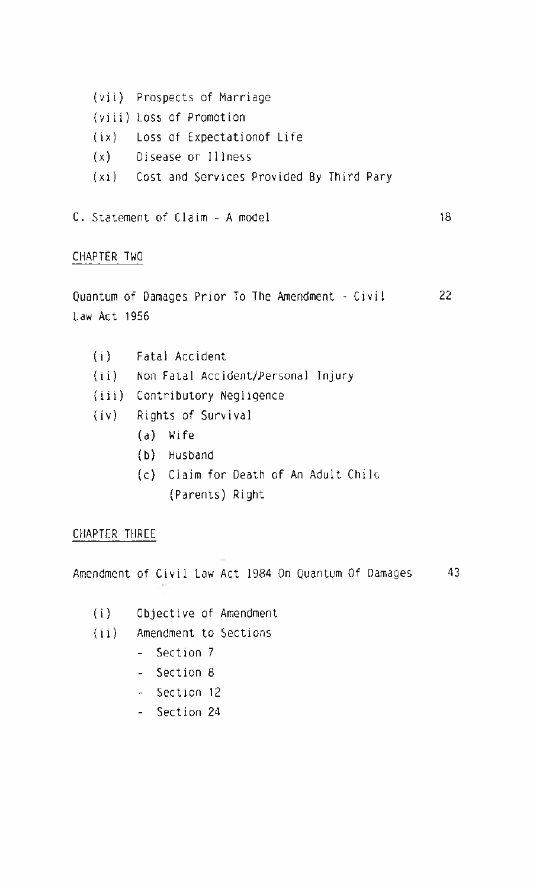- (vii) Prospects of Marriage
- (viii) Loss of Promotion
- (ix) Loss of Expectationof Life
- (x) Disease or Illness
- (xi) Cost and Services Provided By Third Pary
- C. Statement of Claim A model 18

#### CHAPTER TWO

Quantum of Damages Prior To The Amendment - Civil 22 Law Act 1956

- (i) Fatal Accident
- (ii) Non Fatal Accident/Personal Injury
- (iii) Contributory Negligence
- (iv) Rights of Survival
	- (a) Wife
	- (b) Husband
	- (c) Claim for Death of An Adult Chile (Parents) Right

#### CHAPTER THREE

Amendment of Civil Law Act 1984 On Quantum Of Damages 43

- (i) Objective of Amendment
- (ii) Amendment to Sections
	- Section 7
	- Section 8
	- Section 12
	- Section 24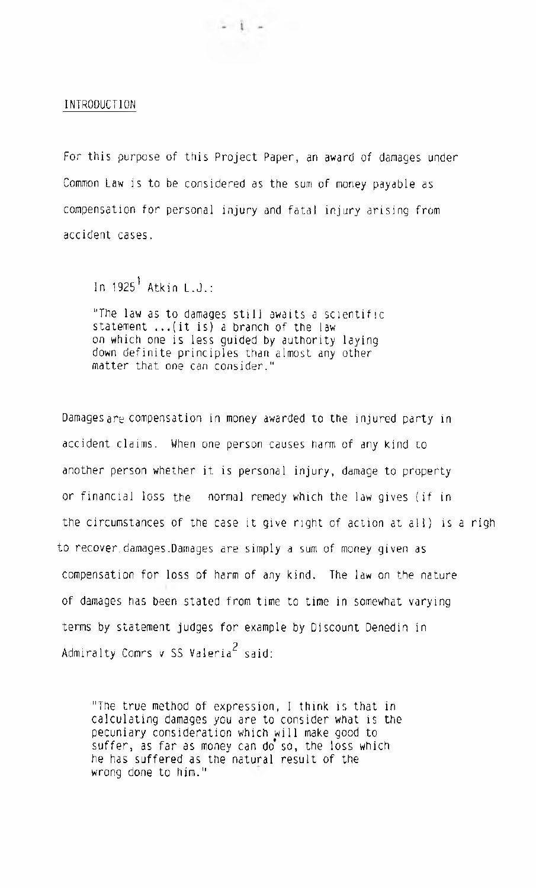#### INTRODUCTION

For this purpose of this Project Paper, an award of damages under Common Law is to be considered as the sum of money payable as compensation for personal injury and fatal injury arising from accident cases.

 $-1 -$ 

In  $1925<sup>1</sup>$  Atkin L.J.:

"The law as to damages still awaits a scientific statement ...(it is) a branch of the law on which one is less guided by authority laying down definite principles than almost any other matter that one can consider."

Damages are compensation in money awarded to the injured party in accident claims. When one person causes harm of any kind to another person whether it is personal injury, damage to property or financial loss the normal remedy which the law gives (if in the circumstances of the case it give right of action at all) is a righ to recover, damages.Damages are simply a sum of money given as compensation for loss of harm of any kind. The law on the nature of damages has been stated from time to time in somewhat varying terms by statement judges for example by Discount Denedin in Admiralty Comrs v SS Valeria $^2$  said:

"The true method of expression, I think is that in calculating damages you are to consider what is the pecuniary consideration which will make good to suffer, as far as money can do so, the loss which he has suffered as the natural result of the wrong done to him."